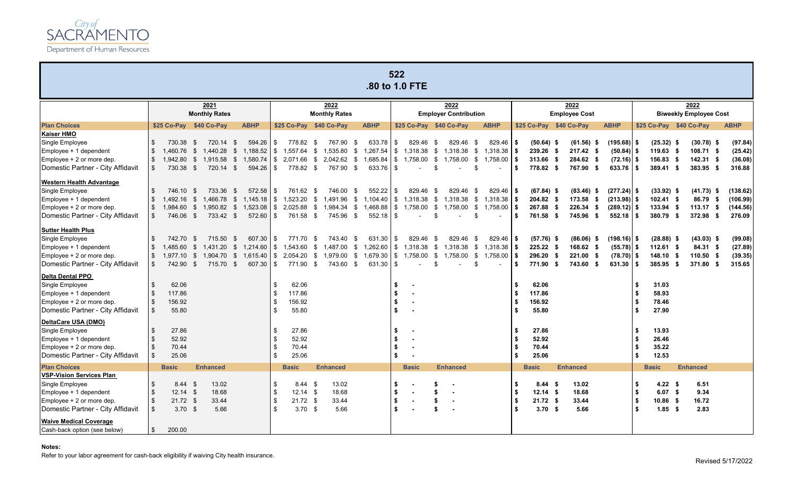

| 522<br>.80 to 1.0 FTE                                         |                                         |                              |                            |                                        |               |                              |                  |    |                |                                      |                         |                    |                |      |                              |                 |               |                                       |                   |  |                 |             |  |
|---------------------------------------------------------------|-----------------------------------------|------------------------------|----------------------------|----------------------------------------|---------------|------------------------------|------------------|----|----------------|--------------------------------------|-------------------------|--------------------|----------------|------|------------------------------|-----------------|---------------|---------------------------------------|-------------------|--|-----------------|-------------|--|
|                                                               |                                         | 2021<br><b>Monthly Rates</b> |                            |                                        |               | 2022<br><b>Monthly Rates</b> |                  |    |                | 2022<br><b>Employer Contribution</b> |                         |                    |                |      | 2022<br><b>Employee Cost</b> |                 |               | 2022<br><b>Biweekly Employee Cost</b> |                   |  |                 |             |  |
|                                                               |                                         |                              |                            | \$25 Co-Pav \$40 Co-Pav<br><b>ABHP</b> |               |                              |                  |    |                |                                      |                         |                    |                |      |                              |                 |               | \$25 Co-Pay \$40 Co-Pay               |                   |  |                 |             |  |
| <b>Plan Choices</b><br><b>Kaiser HMO</b>                      |                                         | \$25 Co-Pay \$40 Co-Pay      | <b>ABHP</b>                |                                        |               |                              |                  |    |                |                                      | \$25 Co-Pay \$40 Co-Pay |                    | <b>ABHP</b>    |      | \$25 Co-Pay \$40 Co-Pay      |                 | <b>ABHP</b>   |                                       |                   |  |                 | <b>ABHP</b> |  |
| Single Employee                                               | \$<br>730.38                            | \$<br>720.14                 | 594.26<br>- \$             | \$                                     | 778.82        | - \$<br>767.90               | 633.78<br>- \$   | \$ | 829.46         | - \$                                 | 829.46                  | - \$               | 829.46         | l S  | $(50.64)$ \$                 | $(61.56)$ \$    | $(195.68)$ \$ |                                       | $(25.32)$ \$      |  | $(30.78)$ \$    | (97.84)     |  |
| Employee + 1 dependent                                        | \$<br>1.460.76                          | \$<br>1,440.28               | \$<br>1,188.52             | \$                                     | 1,557.64      | \$<br>1,535.80               | 1,267.54<br>- \$ | \$ | 1,318.38       | \$                                   | 1,318.38                | - \$               | 1,318.38       | l \$ | 239.26 \$                    | $217.42$ \$     | $(50.84)$ \$  |                                       | 119.63 \$         |  | 108.71 \$       | (25.42)     |  |
| Employee + 2 or more dep.                                     | \$<br>1.942.80                          | 1,915.58<br>\$               | \$<br>1,580.74             |                                        | \$2,071.66    | $$2,042.62$ \$               | 1,685.84         |    | \$1,758.00     | \$                                   | 1,758.00                | $\mathbf{\hat{s}}$ | 1,758.00       | l S  | 313.66 \$                    | 284.62 \$       | $(72.16)$ \$  |                                       | 156.83 \$         |  | $142.31$ \$     | (36.08)     |  |
| Domestic Partner - City Affidavit                             | $\mathbb{S}$<br>730.38                  | \$<br>720.14 \$              | 594.26                     | -S                                     | 778.82 \$     | 767.90 \$                    | 633.76           | \$ |                | - \$                                 |                         | - \$               | $\blacksquare$ | l Si | 778.82 \$                    | 767.90 \$       | 633.76        | <b>S</b>                              | 389.41 \$         |  | 383.95 \$       | 316.88      |  |
| <b>Western Health Advantage</b>                               |                                         |                              |                            |                                        |               |                              |                  |    |                |                                      |                         |                    |                |      |                              |                 |               |                                       |                   |  |                 |             |  |
| Single Employee                                               | $\sqrt[6]{2}$<br>746.10                 | 733.36<br>- \$               | - \$                       |                                        | 761.62 \$     | 746.00                       | 552.22<br>- \$   | \$ | 829.46         | - \$                                 | 829.46                  | - \$               | $829.46$ S     |      | $(67.84)$ \$                 | $(83.46)$ \$    | $(277.24)$ \$ |                                       | $(33.92)$ \$      |  | $(41.73)$ \$    | (138.62)    |  |
| Employee + 1 dependent                                        | \$<br>1.492.16                          | 1,466.78<br>\$               | $\mathfrak s$<br>1,145.18  | \$                                     |               | 1,523.20 \$ 1,491.96         | \$<br>1,104.40   | \$ | 1,318.38       | \$                                   | 1,318.38                | \$                 | 1,318.38       | IS.  | 204.82 \$                    | 173.58<br>- \$  | $(213.98)$ \$ |                                       | $102.41$ \$       |  | 86.79 \$        | (106.99)    |  |
| Employee + 2 or more dep.                                     | \$<br>1.984.60                          | 1.950.82 \$<br>- \$          | 1.523.08                   | \$                                     | 2.025.88 \$   | 1.984.34 \$                  | 1,468.88         | \$ | 1.758.00 \$    |                                      | 1.758.00 \$             |                    | 1.758.00       | - \$ | 267.88 \$                    | $226.34$ \$     | (289.12) \$   |                                       | 133.94 S          |  | $113.17$ \$     | (144.56)    |  |
| Domestic Partner - City Affidavit                             | $\mathbb{S}$<br>746.06                  | $\sqrt{2}$<br>733.42 \$      | 572.60                     | $\sqrt{3}$                             | 761.58 \$     | 745.96 \$                    | 552.18           | £. |                | -S                                   |                         | \$                 | $\sim$         | l S  | 761.58 \$                    | 745.96 \$       | $552.18$ \$   |                                       | 380.79 \$         |  | 372.98 \$       | 276.09      |  |
| <b>Sutter Health Plus</b>                                     |                                         |                              |                            |                                        |               |                              |                  |    |                |                                      |                         |                    |                |      |                              |                 |               |                                       |                   |  |                 |             |  |
| Single Employee                                               | \$<br>742.70                            | 715.50<br>- \$               | $607.30$ \ \$<br>- \$      |                                        | 771.70 \$     | 743.40 \$                    | 631.30           | \$ | 829.46         | -\$                                  | 829.46                  | - \$               | $829.46$ \$    |      | $(57.76)$ \$                 | $(86.06)$ \$    | $(198.16)$ \$ |                                       | $(28.88)$ \$      |  | $(43.03)$ \$    | (99.08)     |  |
| Employee + 1 dependent                                        | \$<br>.485.60                           | 1,431.20<br>\$               | $\mathfrak{S}$<br>1.214.60 | \$                                     | 1.543.60      | \$<br>1.487.00               | 1,262.60<br>\$   | \$ | $1,318.38$ \$  |                                      | 1,318.38 \$ 1,318.38    |                    |                | l S  | $225.22$ \$                  | 168.62 \$       | $(55.78)$ \$  |                                       | $112.61$ \$       |  | 84.31 \$        | (27.89)     |  |
| Employee + 2 or more dep.                                     | \$<br>1.977.10                          | \$<br>1.904.70               | \$<br>1,615.40             | $\sqrt{3}$                             | $2,054.20$ \$ | 1,979.00 \$                  | 1,679.30         | \$ | 1,758.00 \$    |                                      | 1,758.00                | \$                 | 1,758.00       | IS.  | 296.20 \$                    | 221.00 \$       | $(78.70)$ \$  |                                       | 148.10 \$         |  | 110.50 \$       | (39.35)     |  |
| Domestic Partner - City Affidavit                             | \$<br>742.90                            | \$<br>715.70                 | \$<br>607.30               | l \$                                   | 771.90 \$     | 743.60 \$                    | 631.30           | \$ |                | \$                                   |                         | \$                 | $\blacksquare$ | l Si | 771.90 \$                    | 743.60 \$       | 631.30        | l s                                   | 385.95 \$         |  | 371.80 \$       | 315.65      |  |
| <b>Delta Dental PPO</b>                                       |                                         |                              |                            |                                        |               |                              |                  |    |                |                                      |                         |                    |                |      |                              |                 |               |                                       |                   |  |                 |             |  |
| Single Employee                                               | \$<br>62.06                             |                              |                            | -\$                                    | 62.06         |                              |                  | \$ |                |                                      |                         |                    |                | - \$ | 62.06                        |                 |               | - \$                                  | 31.03             |  |                 |             |  |
| Employee + 1 dependent                                        | $\mathbf{s}$<br>117.86                  |                              |                            | \$                                     | 117.86        |                              |                  | \$ |                |                                      |                         |                    |                | \$   | 117.86                       |                 |               | - \$                                  | 58.93             |  |                 |             |  |
| Employee + 2 or more dep.                                     | $\sqrt[6]{2}$<br>156.92                 |                              |                            | -\$                                    | 156.92        |                              |                  | \$ |                |                                      |                         |                    |                | - \$ | 156.92                       |                 |               | - \$                                  | 78.46             |  |                 |             |  |
| Domestic Partner - City Affidavit                             | $\sqrt{2}$<br>55.80                     |                              |                            |                                        | 55.80         |                              |                  |    |                |                                      |                         |                    |                |      | 55.80                        |                 |               | - \$                                  | 27.90             |  |                 |             |  |
| DeltaCare USA (DMO)                                           |                                         |                              |                            |                                        |               |                              |                  |    |                |                                      |                         |                    |                |      |                              |                 |               |                                       |                   |  |                 |             |  |
| Single Employee                                               | $\mathfrak s$<br>27.86                  |                              |                            | \$                                     | 27.86         |                              |                  | \$ |                |                                      |                         |                    |                | \$   | 27.86                        |                 |               | - \$                                  | 13.93             |  |                 |             |  |
| Employee + 1 dependent                                        | $\mathfrak{s}$<br>52.92                 |                              |                            | \$                                     | 52.92         |                              |                  |    |                |                                      |                         |                    |                |      | 52.92                        |                 |               | - \$                                  | 26.46             |  |                 |             |  |
| Employee + 2 or more dep.                                     | $\mathfrak{S}$<br>70.44                 |                              |                            | \$                                     | 70.44         |                              |                  | \$ |                |                                      |                         |                    |                | - \$ | 70.44                        |                 |               | - \$                                  | 35.22             |  |                 |             |  |
| Domestic Partner - City Affidavit                             | $\mathfrak s$<br>25.06                  |                              |                            | \$                                     | 25.06         |                              |                  | \$ |                |                                      |                         |                    |                | Ŝ.   | 25.06                        |                 |               | \$                                    | 12.53             |  |                 |             |  |
| <b>Plan Choices</b>                                           | <b>Basic</b>                            | <b>Enhanced</b>              |                            |                                        | <b>Basic</b>  | <b>Enhanced</b>              |                  |    | <b>Basic</b>   |                                      | <b>Enhanced</b>         |                    |                |      | <b>Basic</b>                 | <b>Enhanced</b> |               |                                       | <b>Basic</b>      |  | <b>Enhanced</b> |             |  |
| <b>VSP-Vision Services Plan</b>                               |                                         |                              |                            |                                        |               |                              |                  |    |                |                                      |                         |                    |                |      |                              |                 |               |                                       |                   |  |                 |             |  |
| Single Employee                                               | \$<br>8.44                              | 13.02<br>- \$                |                            | \$                                     | $8.44$ \$     | 13.02                        |                  | \$ |                | \$                                   |                         |                    |                | - \$ | 8.44<br>- \$                 | 13.02           |               | \$                                    | 4.22 <sup>5</sup> |  | 6.51            |             |  |
| Employee + 1 dependent                                        | $\mathfrak{S}$<br>$12.14$ \$            | 18.68                        |                            | \$                                     | $12.14$ \$    | 18.68                        |                  | \$ |                | Ŝ.                                   |                         |                    |                | l \$ | $12.14$ \$                   | 18.68           |               | \$                                    | $6.07$ \$         |  | 9.34            |             |  |
| Employee + 2 or more dep.                                     | $\boldsymbol{\mathsf{S}}$<br>$21.72$ \$ | 33.44                        |                            | $\sqrt[6]{3}$                          | $21.72$ \$    | 33.44                        |                  | \$ | $\blacksquare$ | \$                                   |                         |                    |                | l \$ | $21.72$ \$                   | 33.44           |               | \$                                    | 10.86 \$          |  | 16.72           |             |  |
| Domestic Partner - City Affidavit                             | $\mathbb{S}$                            | $3.70$ \$<br>5.66            |                            | $\mathbb{S}$                           | $3.70$ \$     | 5.66                         |                  | \$ |                |                                      |                         |                    |                | S.   | 3.70 <sub>5</sub>            | 5.66            |               | $\mathbf{s}$                          | $1.85$ \$         |  | 2.83            |             |  |
| <b>Waive Medical Coverage</b><br>Cash-back option (see below) | \$<br>200.00                            |                              |                            |                                        |               |                              |                  |    |                |                                      |                         |                    |                |      |                              |                 |               |                                       |                   |  |                 |             |  |

## **Notes:**

Refer to your labor agreement for cash-back eligibility if waiving City health insurance.